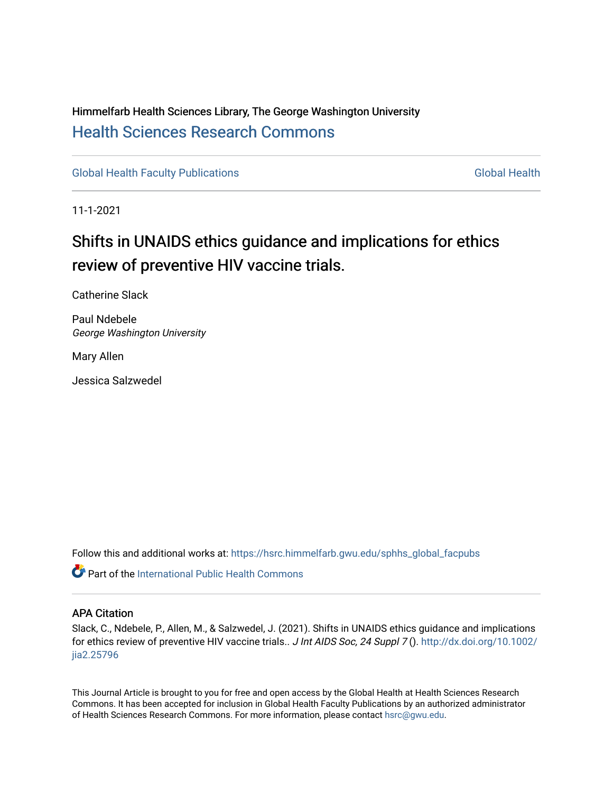# Himmelfarb Health Sciences Library, The George Washington University [Health Sciences Research Commons](https://hsrc.himmelfarb.gwu.edu/)

[Global Health Faculty Publications](https://hsrc.himmelfarb.gwu.edu/sphhs_global_facpubs) [Global Health](https://hsrc.himmelfarb.gwu.edu/sphhs_global) Global Health

11-1-2021

# Shifts in UNAIDS ethics guidance and implications for ethics review of preventive HIV vaccine trials.

Catherine Slack

Paul Ndebele George Washington University

Mary Allen

Jessica Salzwedel

Follow this and additional works at: [https://hsrc.himmelfarb.gwu.edu/sphhs\\_global\\_facpubs](https://hsrc.himmelfarb.gwu.edu/sphhs_global_facpubs?utm_source=hsrc.himmelfarb.gwu.edu%2Fsphhs_global_facpubs%2F1851&utm_medium=PDF&utm_campaign=PDFCoverPages) 

**C** Part of the [International Public Health Commons](http://network.bepress.com/hgg/discipline/746?utm_source=hsrc.himmelfarb.gwu.edu%2Fsphhs_global_facpubs%2F1851&utm_medium=PDF&utm_campaign=PDFCoverPages)

## APA Citation

Slack, C., Ndebele, P., Allen, M., & Salzwedel, J. (2021). Shifts in UNAIDS ethics guidance and implications for ethics review of preventive HIV vaccine trials.. J Int AIDS Soc, 24 Suppl 7 (). [http://dx.doi.org/10.1002/](http://dx.doi.org/10.1002/jia2.25796) [jia2.25796](http://dx.doi.org/10.1002/jia2.25796) 

This Journal Article is brought to you for free and open access by the Global Health at Health Sciences Research Commons. It has been accepted for inclusion in Global Health Faculty Publications by an authorized administrator of Health Sciences Research Commons. For more information, please contact [hsrc@gwu.edu.](mailto:hsrc@gwu.edu)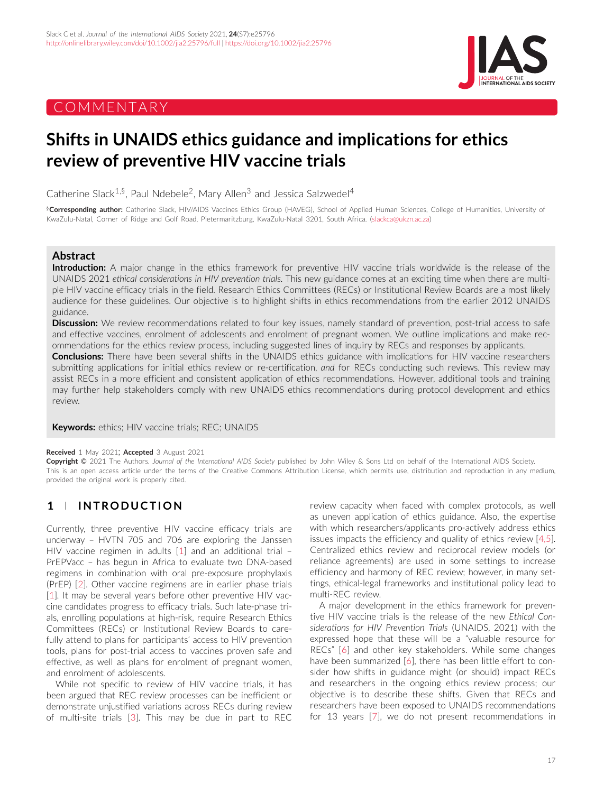# COMMENTARY



# **Shifts in UNAIDS ethics guidance and implications for ethics review of preventive HIV vaccine trials**

Catherine Slack<sup>1,§</sup>, Paul Ndebele<sup>2</sup>, Mary Allen<sup>3</sup> and Jessica Salzwedel<sup>4</sup>

§**Corresponding author:** Catherine Slack, HIV/AIDS Vaccines Ethics Group (HAVEG), School of Applied Human Sciences, College of Humanities, University of KwaZulu-Natal, Corner of Ridge and Golf Road, Pietermaritzburg, KwaZulu-Natal 3201, South Africa. [\(slackca@ukzn.ac.za\)](mailto:slackca@ukzn.ac.za)

## **Abstract**

**Introduction:** A major change in the ethics framework for preventive HIV vaccine trials worldwide is the release of the UNAIDS 2021 *ethical considerations in HIV prevention trials*. This new guidance comes at an exciting time when there are multiple HIV vaccine efficacy trials in the field. Research Ethics Committees (RECs) or Institutional Review Boards are a most likely audience for these guidelines. Our objective is to highlight shifts in ethics recommendations from the earlier 2012 UNAIDS guidance.

**Discussion:** We review recommendations related to four key issues, namely standard of prevention, post-trial access to safe and effective vaccines, enrolment of adolescents and enrolment of pregnant women. We outline implications and make recommendations for the ethics review process, including suggested lines of inquiry by RECs and responses by applicants.

**Conclusions:** There have been several shifts in the UNAIDS ethics guidance with implications for HIV vaccine researchers submitting applications for initial ethics review or re-certification, *and* for RECs conducting such reviews. This review may assist RECs in a more efficient and consistent application of ethics recommendations. However, additional tools and training may further help stakeholders comply with new UNAIDS ethics recommendations during protocol development and ethics review.

**Keywords:** ethics; HIV vaccine trials; REC; UNAIDS

#### **Received** 1 May 2021; **Accepted** 3 August 2021

**Copyright** © 2021 The Authors. *Journal of the International AIDS Society* published by John Wiley & Sons Ltd on behalf of the International AIDS Society. This is an open access article under the terms of the [Creative Commons Attribution](http://creativecommons.org/licenses/by/4.0/) License, which permits use, distribution and reproduction in any medium, provided the original work is properly cited.

# **1 INTRODUCTION**

Currently, three preventive HIV vaccine efficacy trials are underway – HVTN 705 and 706 are exploring the Janssen HIV vaccine regimen in adults [\[1\]](#page-4-0) and an additional trial – PrEPVacc – has begun in Africa to evaluate two DNA-based regimens in combination with oral pre-exposure prophylaxis (PrEP) [\[2\]](#page-4-0). Other vaccine regimens are in earlier phase trials [\[1\]](#page-4-0). It may be several years before other preventive HIV vaccine candidates progress to efficacy trials. Such late-phase trials, enrolling populations at high-risk, require Research Ethics Committees (RECs) or Institutional Review Boards to carefully attend to plans for participants' access to HIV prevention tools, plans for post-trial access to vaccines proven safe and effective, as well as plans for enrolment of pregnant women, and enrolment of adolescents.

While not specific to review of HIV vaccine trials, it has been argued that REC review processes can be inefficient or demonstrate unjustified variations across RECs during review of multi-site trials [\[3\]](#page-4-0). This may be due in part to REC

review capacity when faced with complex protocols, as well as uneven application of ethics guidance. Also, the expertise with which researchers/applicants pro-actively address ethics issues impacts the efficiency and quality of ethics review [\[4,5\]](#page-4-0). Centralized ethics review and reciprocal review models (or reliance agreements) are used in some settings to increase efficiency and harmony of REC review; however, in many settings, ethical-legal frameworks and institutional policy lead to multi-REC review.

A major development in the ethics framework for preventive HIV vaccine trials is the release of the new *Ethical Considerations for HIV Prevention Trials* (UNAIDS, 2021) with the expressed hope that these will be a "valuable resource for RECs" [\[6\]](#page-4-0) and other key stakeholders. While some changes have been summarized [\[6\]](#page-4-0), there has been little effort to consider how shifts in guidance might (or should) impact RECs and researchers in the ongoing ethics review process; our objective is to describe these shifts. Given that RECs and researchers have been exposed to UNAIDS recommendations for 13 years [\[7\]](#page-4-0), we do not present recommendations in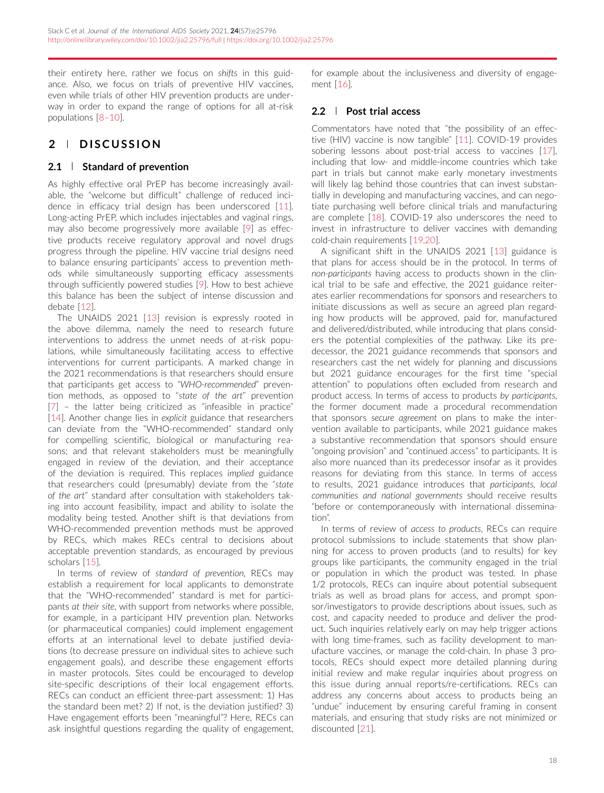their entirety here, rather we focus on *shifts* in this guidance. Also, we focus on trials of preventive HIV vaccines, even while trials of other HIV prevention products are underway in order to expand the range of options for all at-risk populations [\[8–10\]](#page-4-0).

## **2 DISCUSSION**

## **2.1 Standard of prevention**

As highly effective oral PrEP has become increasingly available, the "welcome but difficult" challenge of reduced incidence in efficacy trial design has been underscored [\[11\]](#page-4-0). Long-acting PrEP, which includes injectables and vaginal rings, may also become progressively more available [\[9\]](#page-4-0) as effective products receive regulatory approval and novel drugs progress through the pipeline. HIV vaccine trial designs need to balance ensuring participants' access to prevention methods while simultaneously supporting efficacy assessments through sufficiently powered studies [\[9\]](#page-4-0). How to best achieve this balance has been the subject of intense discussion and debate [\[12\]](#page-4-0).

The UNAIDS 2021 [\[13\]](#page-4-0) revision is expressly rooted in the above dilemma, namely the need to research future interventions to address the unmet needs of at-risk populations, while simultaneously facilitating access to effective interventions for current participants. A marked change in the 2021 recommendations is that researchers should ensure that participants get access to "*WHO-recommended*" prevention methods, as opposed to "*state of the art*" prevention [\[7\]](#page-4-0) – the latter being criticized as "infeasible in practice" [\[14\]](#page-4-0). Another change lies in *explicit* guidance that researchers can deviate from the "WHO-recommended" standard only for compelling scientific, biological or manufacturing reasons; and that relevant stakeholders must be meaningfully engaged in review of the deviation, and their acceptance of the deviation is required. This replaces *implied* guidance that researchers could (presumably) deviate from the "*state of the art*" standard after consultation with stakeholders taking into account feasibility, impact and ability to isolate the modality being tested. Another shift is that deviations from WHO-recommended prevention methods must be approved by RECs, which makes RECs central to decisions about acceptable prevention standards, as encouraged by previous scholars [\[15\]](#page-4-0).

In terms of review of *standard of prevention*, RECs may establish a requirement for local applicants to demonstrate that the "WHO-recommended" standard is met for participants *at their site*, with support from networks where possible, for example, in a participant HIV prevention plan. Networks (or pharmaceutical companies) could implement engagement efforts at an international level to debate justified deviations (to decrease pressure on individual sites to achieve such engagement goals), and describe these engagement efforts in master protocols. Sites could be encouraged to develop site-specific descriptions of their local engagement efforts. RECs can conduct an efficient three-part assessment: 1) Has the standard been met? 2) If not, is the deviation justified? 3) Have engagement efforts been "meaningful"? Here, RECs can ask insightful questions regarding the quality of engagement,

for example about the inclusiveness and diversity of engagement [\[16\]](#page-4-0).

## **2.2 Post trial access**

Commentators have noted that "the possibility of an effective (HIV) vaccine is now tangible" [\[11\]](#page-4-0). COVID-19 provides sobering lessons about post-trial access to vaccines [\[17\]](#page-4-0), including that low- and middle-income countries which take part in trials but cannot make early monetary investments will likely lag behind those countries that can invest substantially in developing and manufacturing vaccines, and can negotiate purchasing well before clinical trials and manufacturing are complete [\[18\]](#page-4-0). COVID-19 also underscores the need to invest in infrastructure to deliver vaccines with demanding cold-chain requirements [\[19,20\]](#page-4-0).

A significant shift in the UNAIDS 2021 [\[13\]](#page-4-0) guidance is that plans for access should be in the protocol. In terms of *non-participants* having access to products shown in the clinical trial to be safe and effective, the 2021 guidance reiterates earlier recommendations for sponsors and researchers to initiate discussions as well as secure an agreed plan regarding how products will be approved, paid for, manufactured and delivered/distributed, while introducing that plans considers the potential complexities of the pathway. Like its predecessor, the 2021 guidance recommends that sponsors and researchers cast the net widely for planning and discussions but 2021 guidance encourages for the first time "special attention" to populations often excluded from research and product access. In terms of access to products *by participants*, the former document made a procedural recommendation that sponsors *secure agreement* on plans to make the intervention available to participants, while 2021 guidance makes a substantive recommendation that sponsors should ensure "ongoing provision" and "continued access" to participants. It is also more nuanced than its predecessor insofar as it provides reasons for deviating from this stance. In terms of access to results, 2021 guidance introduces that *participants, local communities and national governments* should receive results "before or contemporaneously with international dissemination".

In terms of review of *access to products*, RECs can require protocol submissions to include statements that show planning for access to proven products (and to results) for key groups like participants, the community engaged in the trial or population in which the product was tested. In phase 1/2 protocols, RECs can inquire about potential subsequent trials as well as broad plans for access, and prompt sponsor/investigators to provide descriptions about issues, such as cost, and capacity needed to produce and deliver the product. Such inquiries relatively early on may help trigger actions with long time-frames, such as facility development to manufacture vaccines, or manage the cold-chain. In phase 3 protocols, RECs should expect more detailed planning during initial review and make regular inquiries about progress on this issue during annual reports/re-certifications. RECs can address any concerns about access to products being an "undue" inducement by ensuring careful framing in consent materials, and ensuring that study risks are not minimized or discounted [\[21\]](#page-4-0).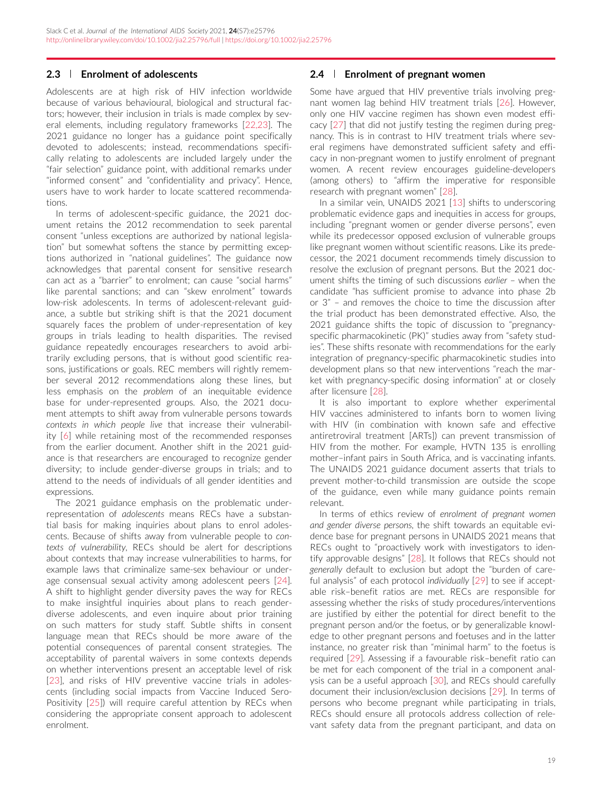### **2.3 Enrolment of adolescents**

Adolescents are at high risk of HIV infection worldwide because of various behavioural, biological and structural factors; however, their inclusion in trials is made complex by several elements, including regulatory frameworks [\[22,23\]](#page-4-0). The 2021 guidance no longer has a guidance point specifically devoted to adolescents; instead, recommendations specifically relating to adolescents are included largely under the "fair selection" guidance point, with additional remarks under "informed consent" and "confidentiality and privacy". Hence, users have to work harder to locate scattered recommendations.

In terms of adolescent-specific guidance, the 2021 document retains the 2012 recommendation to seek parental consent "unless exceptions are authorized by national legislation" but somewhat softens the stance by permitting exceptions authorized in "national guidelines". The guidance now acknowledges that parental consent for sensitive research can act as a "barrier" to enrolment; can cause "social harms" like parental sanctions; and can "skew enrolment" towards low-risk adolescents. In terms of adolescent-relevant guidance, a subtle but striking shift is that the 2021 document squarely faces the problem of under-representation of key groups in trials leading to health disparities. The revised guidance repeatedly encourages researchers to avoid arbitrarily excluding persons, that is without good scientific reasons, justifications or goals. REC members will rightly remember several 2012 recommendations along these lines, but less emphasis on the *problem* of an inequitable evidence base for under-represented groups. Also, the 2021 document attempts to shift away from vulnerable persons towards *contexts in which people live* that increase their vulnerability [\[6\]](#page-4-0) while retaining most of the recommended responses from the earlier document. Another shift in the 2021 guidance is that researchers are encouraged to recognize gender diversity; to include gender-diverse groups in trials; and to attend to the needs of individuals of all gender identities and expressions.

The 2021 guidance emphasis on the problematic underrepresentation of *adolescents* means RECs have a substantial basis for making inquiries about plans to enrol adolescents. Because of shifts away from vulnerable people to *contexts of vulnerability*, RECs should be alert for descriptions about contexts that may increase vulnerabilities to harms, for example laws that criminalize same-sex behaviour or underage consensual sexual activity among adolescent peers [\[24\]](#page-4-0). A shift to highlight gender diversity paves the way for RECs to make insightful inquiries about plans to reach genderdiverse adolescents, and even inquire about prior training on such matters for study staff. Subtle shifts in consent language mean that RECs should be more aware of the potential consequences of parental consent strategies. The acceptability of parental waivers in some contexts depends on whether interventions present an acceptable level of risk [\[23\]](#page-4-0), and risks of HIV preventive vaccine trials in adolescents (including social impacts from Vaccine Induced Sero-Positivity [\[25\]](#page-4-0)) will require careful attention by RECs when considering the appropriate consent approach to adolescent enrolment.

### **2.4 Enrolment of pregnant women**

Some have argued that HIV preventive trials involving pregnant women lag behind HIV treatment trials [\[26\]](#page-4-0). However, only one HIV vaccine regimen has shown even modest efficacy [\[27\]](#page-4-0) that did not justify testing the regimen during pregnancy. This is in contrast to HIV treatment trials where several regimens have demonstrated sufficient safety and efficacy in non-pregnant women to justify enrolment of pregnant women. A recent review encourages guideline-developers (among others) to "affirm the imperative for responsible research with pregnant women" [\[28\]](#page-5-0).

In a similar vein, UNAIDS 2021 [\[13\]](#page-4-0) shifts to underscoring problematic evidence gaps and inequities in access for groups, including "pregnant women or gender diverse persons", even while its predecessor opposed exclusion of vulnerable groups like pregnant women without scientific reasons. Like its predecessor, the 2021 document recommends timely discussion to resolve the exclusion of pregnant persons. But the 2021 document shifts the timing of such discussions *earlier* – when the candidate "has sufficient promise to advance into phase 2b or 3" – and removes the choice to time the discussion after the trial product has been demonstrated effective. Also, the 2021 guidance shifts the topic of discussion to "pregnancyspecific pharmacokinetic (PK)" studies away from "safety studies". These shifts resonate with recommendations for the early integration of pregnancy-specific pharmacokinetic studies into development plans so that new interventions "reach the market with pregnancy-specific dosing information" at or closely after licensure [\[28\]](#page-5-0).

It is also important to explore whether experimental HIV vaccines administered to infants born to women living with HIV (in combination with known safe and effective antiretroviral treatment [ARTs]) can prevent transmission of HIV from the mother. For example, HVTN 135 is enrolling mother–infant pairs in South Africa, and is vaccinating infants. The UNAIDS 2021 guidance document asserts that trials to prevent mother-to-child transmission are outside the scope of the guidance, even while many guidance points remain relevant.

In terms of ethics review of *enrolment of pregnant women and gender diverse persons*, the shift towards an equitable evidence base for pregnant persons in UNAIDS 2021 means that RECs ought to "proactively work with investigators to identify approvable designs" [\[28\]](#page-5-0). It follows that RECs should not *generally* default to exclusion but adopt the "burden of careful analysis" of each protocol *individually* [\[29\]](#page-5-0) to see if acceptable risk–benefit ratios are met. RECs are responsible for assessing whether the risks of study procedures/interventions are justified by either the potential for direct benefit to the pregnant person and/or the foetus, or by generalizable knowledge to other pregnant persons and foetuses and in the latter instance, no greater risk than "minimal harm" to the foetus is required [\[29\]](#page-5-0). Assessing if a favourable risk–benefit ratio can be met for each component of the trial in a component analysis can be a useful approach [\[30\]](#page-5-0), and RECs should carefully document their inclusion/exclusion decisions [\[29\]](#page-5-0). In terms of persons who become pregnant while participating in trials, RECs should ensure all protocols address collection of relevant safety data from the pregnant participant, and data on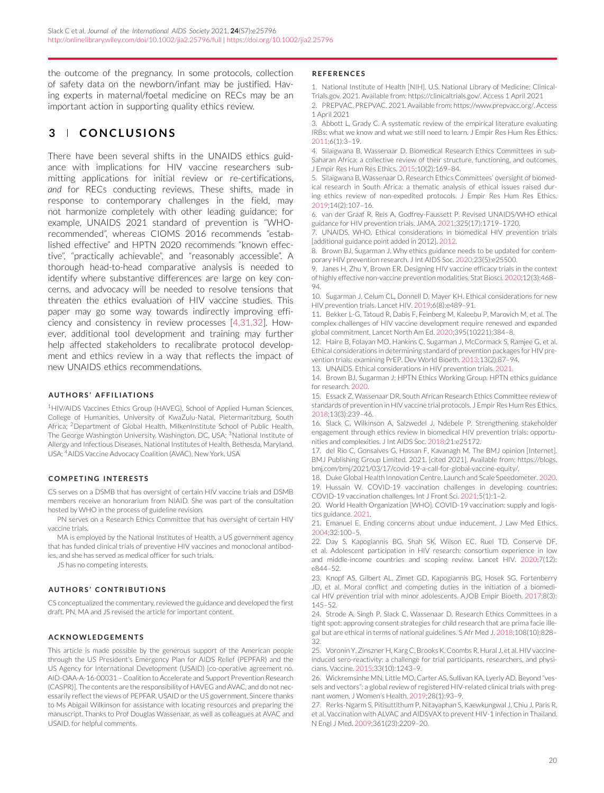<span id="page-4-0"></span>the outcome of the pregnancy. In some protocols, collection of safety data on the newborn/infant may be justified. Having experts in maternal/foetal medicine on RECs may be an important action in supporting quality ethics review.

## **3 CONCLUSIONS**

There have been several shifts in the UNAIDS ethics guidance with implications for HIV vaccine researchers submitting applications for initial review or re-certifications, *and* for RECs conducting reviews. These shifts, made in response to contemporary challenges in the field, may not harmonize completely with other leading guidance; for example, UNAIDS 2021 standard of prevention is "WHOrecommended", whereas CIOMS 2016 recommends "established effective" and HPTN 2020 recommends "known effective", "practically achievable", and "reasonably accessible". A thorough head-to-head comparative analysis is needed to identify where substantive differences are large on key concerns, and advocacy will be needed to resolve tensions that threaten the ethics evaluation of HIV vaccine studies. This paper may go some way towards indirectly improving efficiency and consistency in review processes [4,31,32]. However, additional tool development and training may further help affected stakeholders to recalibrate protocol development and ethics review in a way that reflects the impact of new UNAIDS ethics recommendations.

#### **AUTHORS' AFFILIATIONS**

<sup>1</sup>HIV/AIDS Vaccines Ethics Group (HAVEG), School of Applied Human Sciences, College of Humanities, University of KwaZulu-Natal, Pietermaritzburg, South Africa; 2Department of Global Health, MilkenInstitute School of Public Health, The George Washington University, Washington, DC, USA; <sup>3</sup>National Institute of Allergy and Infectious Diseases, National Institutes of Health, Bethesda, Maryland, USA; 4AIDS Vaccine Advocacy Coalition (AVAC), New York, USA

#### **COMPETING INTERESTS**

CS serves on a DSMB that has oversight of certain HIV vaccine trials and DSMB members receive an honorarium from NIAID. She was part of the consultation hosted by WHO in the process of guideline revision.

PN serves on a Research Ethics Committee that has oversight of certain HIV vaccine trials.

MA is employed by the National Institutes of Health, a US government agency that has funded clinical trials of preventive HIV vaccines and monoclonal antibodies, and she has served as medical officer for such trials.

JS has no competing interests.

#### **AUTHORS' CONTRIBUTIONS**

CS conceptualized the commentary, reviewed the guidance and developed the first draft. PN, MA and JS revised the article for important content.

#### **ACKNOWLEDGEMENTS**

This article is made possible by the generous support of the American people through the US President's Emergency Plan for AIDS Relief (PEPFAR) and the US Agency for International Development (USAID) [co-operative agreement no. AID-OAA-A-16-00031 – Coalition to Accelerate and Support Prevention Research (CASPR)]. The contents are the responsibility of HAVEG and AVAC, and do not necessarily reflect the views of PEPFAR, USAID or the US government. Sincere thanks to Ms Abigail Wilkinson for assistance with locating resources and preparing the manuscript. Thanks to Prof Douglas Wassenaar, as well as colleagues at AVAC and USAID, for helpful comments.

#### **REFERENCES**

1. National Institute of Health [NIH]. U.S. National Library of Medicine: Clinical-Trials.gov. 2021. Available from: [https://clinicaltrials.gov/.](https://clinicaltrials.gov/) Access 1 April 2021

2. PREPVAC. PREPVAC. 2021. Available from[: https://www.prepvacc.org/.](https://www.prepvacc.org/) Access 1 April 2021

3. Abbott L, Grady C. A systematic review of the empirical literature evaluating IRBs: what we know and what we still need to learn. J Empir Res Hum Res Ethics. 2011;6(1):3–19.

4. Silaigwana B, Wassenaar D. Biomedical Research Ethics Committees in sub-Saharan Africa: a collective review of their structure, functioning, and outcomes. J Empir Res Hum Res Ethics. 2015;10(2):169–84.

5. Silaigwana B, Wassenaar D. Research Ethics Committees' oversight of biomedical research in South Africa: a thematic analysis of ethical issues raised during ethics review of non-expedited protocols. J Empir Res Hum Res Ethics. 2019;14(2):107–16.

6. van der Graaf R, Reis A, Godfrey-Faussett P. Revised UNAIDS/WHO ethical guidance for HIV prevention trials. JAMA. 2021;325(17):1719–1720.

7. UNAIDS, WHO. Ethical considerations in biomedical HIV prevention trials [additional guidance point added in 2012]. 2012.

8. Brown BJ, Sugarman J. Why ethics guidance needs to be updated for contemporary HIV prevention research. J Int AIDS Soc. 2020;23(5):e25500.

9. Janes H, Zhu Y, Brown ER. Designing HIV vaccine efficacy trials in the context of highly effective non-vaccine prevention modalities. Stat Biosci. 2020;12(3):468– 94.

10. Sugarman J, Celum CL, Donnell D, Mayer KH. Ethical considerations for new HIV prevention trials. Lancet HIV. 2019;6(8):e489–91.

11. Bekker L-G, Tatoud R, Dabis F, Feinberg M, Kaleebu P, Marovich M, et al. The complex challenges of HIV vaccine development require renewed and expanded global commitment. Lancet North Am Ed. 2020;395(10221):384–8.

12. Haire B, Folayan MO, Hankins C, Sugarman J, McCormack S, Ramjee G, et al. Ethical considerations in determining standard of prevention packages for HIV prevention trials: examining PrEP. Dev World Bioeth. 2013;13(2):87–94.

13. UNAIDS. Ethical considerations in HIV prevention trials. 2021.

14. Brown BJ, Sugarman J; HPTN Ethics Working Group. HPTN ethics guidance for research. 2020.

15. Essack Z, Wassenaar DR. South African Research Ethics Committee review of standards of prevention in HIV vaccine trial protocols. J Empir Res Hum Res Ethics. 2018;13(3):239–46.

16. Slack C, Wilkinson A, Salzwedel J, Ndebele P. Strengthening stakeholder engagement through ethics review in biomedical HIV prevention trials: opportunities and complexities. J Int AIDS Soc. 2018;21:e25172.

17. del Rio C, Gonsalves G, Hassan F, Kavanagh M. The BMJ opinion [Internet]. BMJ Publishing Group Limited. 2021. [cited 2021]. Available from: [https://blogs.](https://blogs.bmj.com/bmj/2021/03/17/covid-19-a-call-for-global-vaccine-equity/) [bmj.com/bmj/2021/03/17/covid-19-a-call-for-global-vaccine-equity/.](https://blogs.bmj.com/bmj/2021/03/17/covid-19-a-call-for-global-vaccine-equity/)

18. Duke Global Health Innovation Centre. Launch and Scale Speedometer. 2020. 19. Hussain W. COVID-19 vaccination challenges in developing countries: COVID-19 vaccination challenges. Int J Front Sci. 2021;5(1):1–2.

20. World Health Organization [WHO]. COVID-19 vaccination: supply and logistics guidance. 2021.

21. Emanuel E. Ending concerns about undue inducement. J Law Med Ethics. 2004;32:100–5.

22. Day S, Kapogiannis BG, Shah SK, Wilson EC, Ruel TD, Conserve DF, et al. Adolescent participation in HIV research: consortium experience in low and middle-income countries and scoping review. Lancet HIV. 2020;7(12): e844–52.

23. Knopf AS, Gilbert AL, Zimet GD, Kapogiannis BG, Hosek SG, Fortenberry JD, et al. Moral conflict and competing duties in the initiation of a biomedical HIV prevention trial with minor adolescents. AJOB Empir Bioeth. 2017;8(3): 145–52.

24. Strode A, Singh P, Slack C, Wassenaar D. Research Ethics Committees in a tight spot: approving consent strategies for child research that are prima facie illegal but are ethical in terms of national guidelines. S Afr Med J. 2018;108(10):828– 32.

25. Voronin Y, Zinszner H, Karg C, Brooks K, Coombs R, Hural J, et al. HIV vaccineinduced sero-reactivity: a challenge for trial participants, researchers, and physicians. Vaccine. 2015;33(10):1243–9.

26. Wickremsinhe MN, Little MO, Carter AS, Sullivan KA, Lyerly AD. Beyond "vessels and vectors": a global review of registered HIV-related clinical trials with pregnant women. J Women's Health. 2019;28(1):93–9.

27. Rerks-Ngarm S, Pitisuttithum P, Nitayaphan S, Kaewkungwal J, Chiu J, Paris R, et al. Vaccination with ALVAC and AIDSVAX to prevent HIV-1 infection in Thailand. N Engl J Med. 2009;361(23):2209–20.